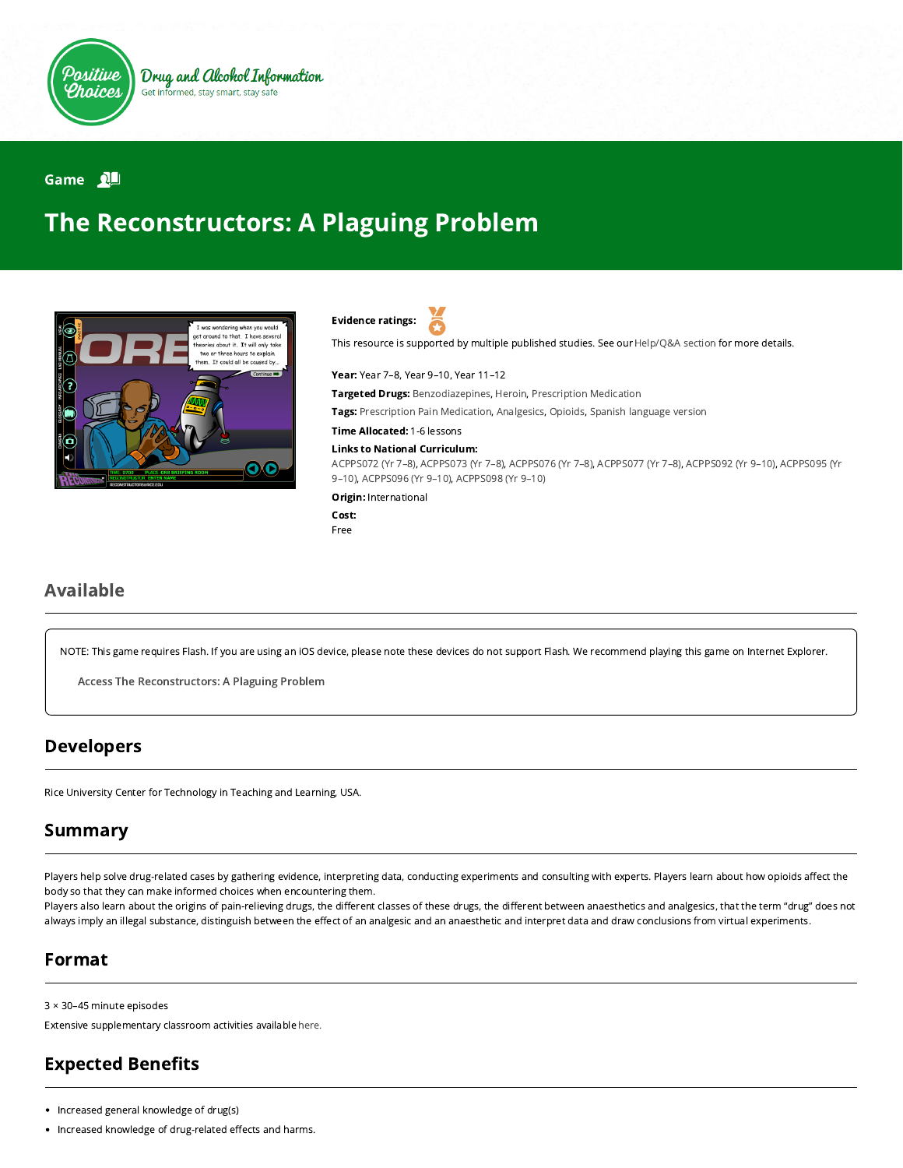

#### Game 2

# The Reconstructors: A Plaguing Problem



Evidence ratings:

This resource is supported by multiple published studies. See our [Help/Q&A section](https://positivechoices.org.au/help/questions-and-answers/) for more details.

Year: Year 7–8, Year 9–10, Year 11–12

**Targeted Drugs:** Benzodiazepines, Heroin, Prescription Medication

Tags: Prescription Pain Medication, Analgesics, Opioids, Spanish language version

Time Allocated: 1-6 lessons

#### Links to National Curriculum:

[ACPPS072 \(Yr 7–8](http://www.australiancurriculum.edu.au/Curriculum/ContentDescription/ACPPS072)[\),](http://www.australiancurriculum.edu.au/Curriculum/ContentDescription/ACPPS095) [ACPPS073 \(Yr 7–8](http://www.australiancurriculum.edu.au/Curriculum/ContentDescription/ACPPS073)[\), A](http://www.australiancurriculum.edu.au/Curriculum/ContentDescription/ACPPS095)[CPPS076 \(Yr 7–8](http://www.australiancurriculum.edu.au/Curriculum/ContentDescription/ACPPS076)[\),](http://www.australiancurriculum.edu.au/Curriculum/ContentDescription/ACPPS095) [ACPPS077 \(Yr 7–8](http://www.australiancurriculum.edu.au/Curriculum/ContentDescription/ACPPS077)[\), A](http://www.australiancurriculum.edu.au/Curriculum/ContentDescription/ACPPS095)[CPPS092 \(Yr 9–10](http://www.australiancurriculum.edu.au/Curriculum/ContentDescription/ACPPS092)[\), ACPPS095 \(Yr](http://www.australiancurriculum.edu.au/Curriculum/ContentDescription/ACPPS095) 9–10), [ACPPS096 \(Yr 9–10\)](http://www.australiancurriculum.edu.au/Curriculum/ContentDescription/ACPPS096), [ACPPS098 \(Yr 9–10\)](http://www.australiancurriculum.edu.au/Curriculum/ContentDescription/ACPPS098)

Origin: International

Cost: Free

### Available

NOTE: This game requires Flash. If you are using an iOS device, please note these devices do not support Flash. We recommend playing this game on Internet Explorer.

Access The [Reconstructors:](http://webadventures.rice.edu/stu/Games/Reconstructors/_601/Game-Overview.html) A Plaguing Problem

#### Developers

Rice University Center for Technology in Teaching and Learning, USA.

#### Summary

Players help solve drug-related cases by gathering evidence, interpreting data, conducting experiments and consulting with experts. Players learn about how opioids affect the body so that they can make informed choices when encountering them.

Players also learn about the origins of pain-relieving drugs, the different classes of these drugs, the different between anaesthetics and analgesics, that the term "drug" does not always imply an illegal substance, distinguish between the effect of an analgesic and an anaesthetic and interpret data and draw conclusions from virtual experiments.

#### Format

3 × 30–45 minute episodes

Extensive supplementary classroom activities available [here.](http://webadventures.rice.edu/ed/Teacher-Resources/_games/Reconstructors/_601/Teacher-Materials.html)

# **Expected Benefits**

- Increased general knowledge of drug(s)
- Increased knowledge of drug-related effects and harms.